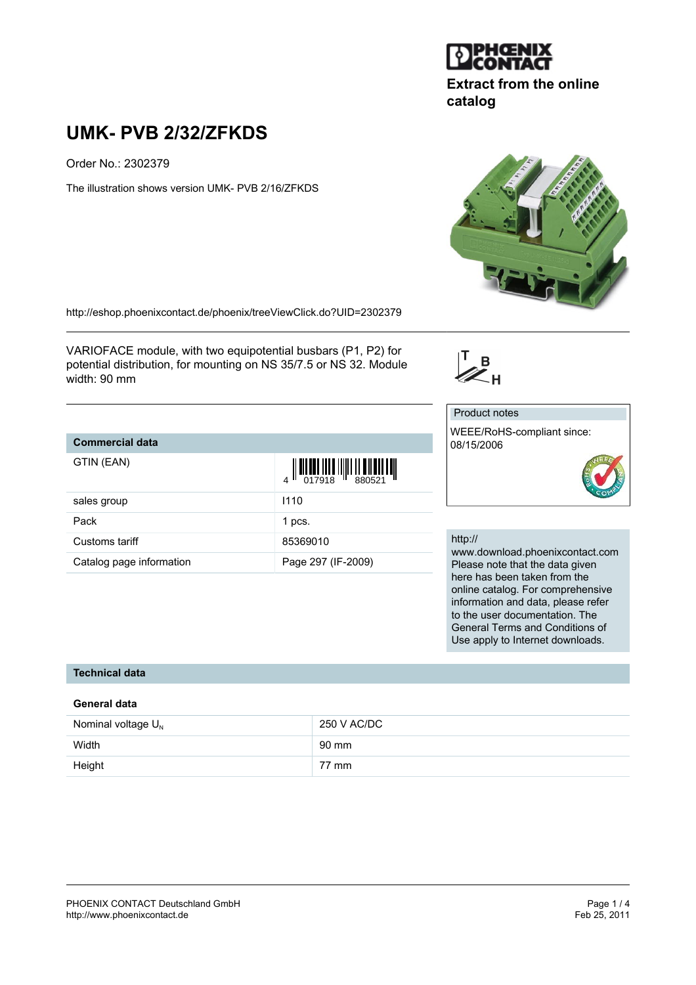

# **Extract from the online catalog**

# **UMK- PVB 2/32/ZFKDS**

Order No.: 2302379

The illustration shows version UMK- PVB 2/16/ZFKDS



<http://eshop.phoenixcontact.de/phoenix/treeViewClick.do?UID=2302379>

VARIOFACE module, with two equipotential busbars (P1, P2) for potential distribution, for mounting on NS 35/7.5 or NS 32. Module width: 90 mm

## **Commercial data**

G

| GTIN (EAN)               | $\begin{array}{c} \begin{array}{c} \begin{array}{c} \end{array} \\ \begin{array}{c} \end{array} \\ \begin{array}{c} \end{array} \\ \begin{array}{c} \end{array} \\ \begin{array}{c} \end{array} \\ \begin{array}{c} \end{array} \\ \begin{array}{c} \end{array} \\ \begin{array}{c} \end{array} \\ \begin{array}{c} \end{array} \\ \begin{array}{c} \end{array} \\ \begin{array}{c} \end{array} \\ \begin{array}{c} \end{array} \\ \begin{array}{c} \end{array} \\ \begin{array}{c} \end{array} \\ \begin{array}{c} \end{array} \\ \begin{array}{c} \end{array$ |        |
|--------------------------|-----------------------------------------------------------------------------------------------------------------------------------------------------------------------------------------------------------------------------------------------------------------------------------------------------------------------------------------------------------------------------------------------------------------------------------------------------------------------------------------------------------------------------------------------------------------|--------|
| sales group              | 1110                                                                                                                                                                                                                                                                                                                                                                                                                                                                                                                                                            |        |
| Pack                     | 1 pcs.                                                                                                                                                                                                                                                                                                                                                                                                                                                                                                                                                          |        |
| Customs tariff           | 85369010                                                                                                                                                                                                                                                                                                                                                                                                                                                                                                                                                        | ht     |
| Catalog page information | Page 297 (IF-2009)                                                                                                                                                                                                                                                                                                                                                                                                                                                                                                                                              | W<br>P |

#### Product notes

 $\mathbb{Z}_{H}^{T}$ 

WEEE/RoHS-compliant since: 08/15/2006



#### http://

ww.download.phoenixcontact.com lease note that the data given here has been taken from the online catalog. For comprehensive information and data, please refer to the user documentation. The General Terms and Conditions of Use apply to Internet downloads.

### **Technical data**

#### **General data**

| Nominal voltage $U_{N}$ | 250 V AC/DC     |
|-------------------------|-----------------|
| Width                   | 90 mm           |
| Height                  | $77 \text{ mm}$ |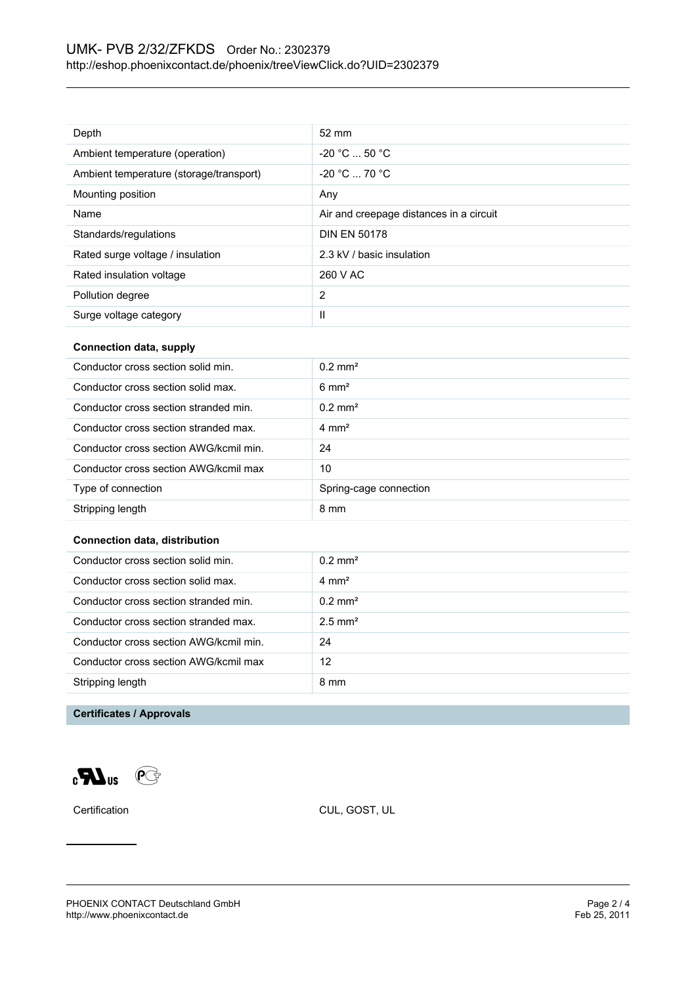| Depth                                   | $52 \text{ mm}$                         |
|-----------------------------------------|-----------------------------------------|
| Ambient temperature (operation)         | $-20 °C  50 °C$                         |
| Ambient temperature (storage/transport) | $-20 °C = 70 °C$                        |
| Mounting position                       | Any                                     |
| Name                                    | Air and creepage distances in a circuit |
| Standards/regulations                   | <b>DIN EN 50178</b>                     |
| Rated surge voltage / insulation        | 2.3 kV / basic insulation               |
| Rated insulation voltage                | 260 V AC                                |
| Pollution degree                        | $\overline{2}$                          |
| Surge voltage category                  | Ш                                       |

#### **Connection data, supply**

| Conductor cross section solid min.     | $0.2$ mm <sup>2</sup>  |
|----------------------------------------|------------------------|
| Conductor cross section solid max.     | $6 \text{ mm}^2$       |
| Conductor cross section stranded min.  | $0.2 \text{ mm}^2$     |
| Conductor cross section stranded max.  | $4 \text{ mm}^2$       |
| Conductor cross section AWG/kcmil min. | 24                     |
| Conductor cross section AWG/kcmil max  | 10                     |
| Type of connection                     | Spring-cage connection |
| Stripping length                       | 8 mm                   |

#### **Connection data, distribution**

| Conductor cross section solid min.     | $0.2 \text{ mm}^2$    |
|----------------------------------------|-----------------------|
| Conductor cross section solid max.     | $4 \text{ mm}^2$      |
| Conductor cross section stranded min.  | $0.2 \text{ mm}^2$    |
| Conductor cross section stranded max.  | $2.5$ mm <sup>2</sup> |
| Conductor cross section AWG/kcmil min. | 24                    |
| Conductor cross section AWG/kcmil max  | 12                    |
| Stripping length                       | 8 mm                  |
|                                        |                       |

#### **Certificates / Approvals**

 $\mathbf{C}$  and  $\mathbf{C}$ 

Certification CUL, GOST, UL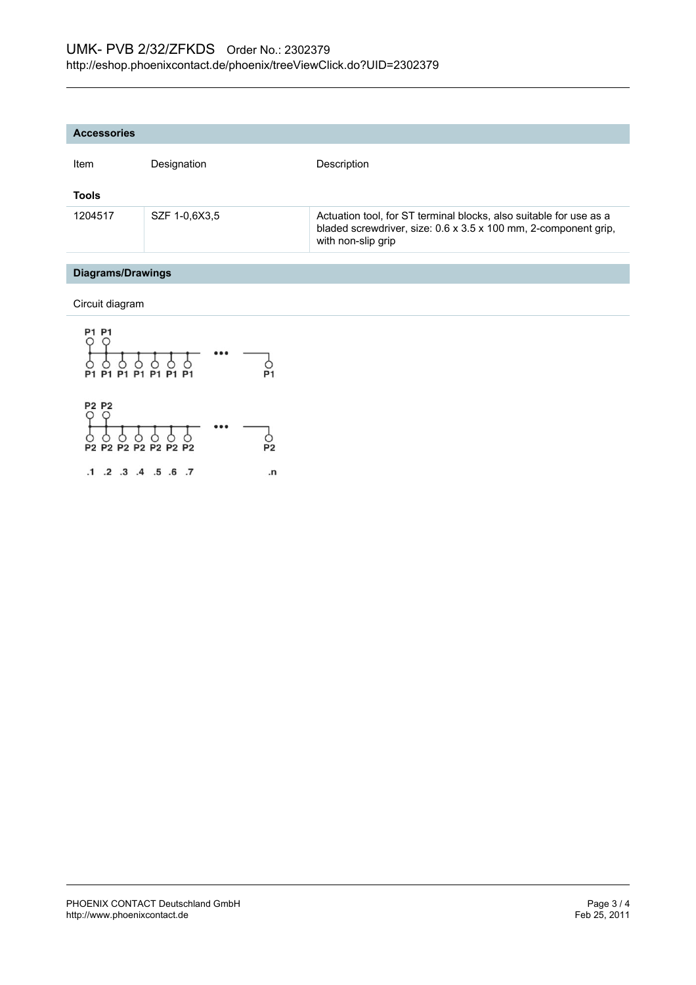| <b>Accessories</b> |               |                                                                                                                                                             |
|--------------------|---------------|-------------------------------------------------------------------------------------------------------------------------------------------------------------|
| Item               | Designation   | Description                                                                                                                                                 |
| <b>Tools</b>       |               |                                                                                                                                                             |
| 1204517            | SZF 1-0,6X3,5 | Actuation tool, for ST terminal blocks, also suitable for use as a<br>bladed screwdriver, size: 0.6 x 3.5 x 100 mm, 2-component grip,<br>with non-slip grip |
|                    |               |                                                                                                                                                             |

#### **Diagrams/Drawings**

Circuit diagram